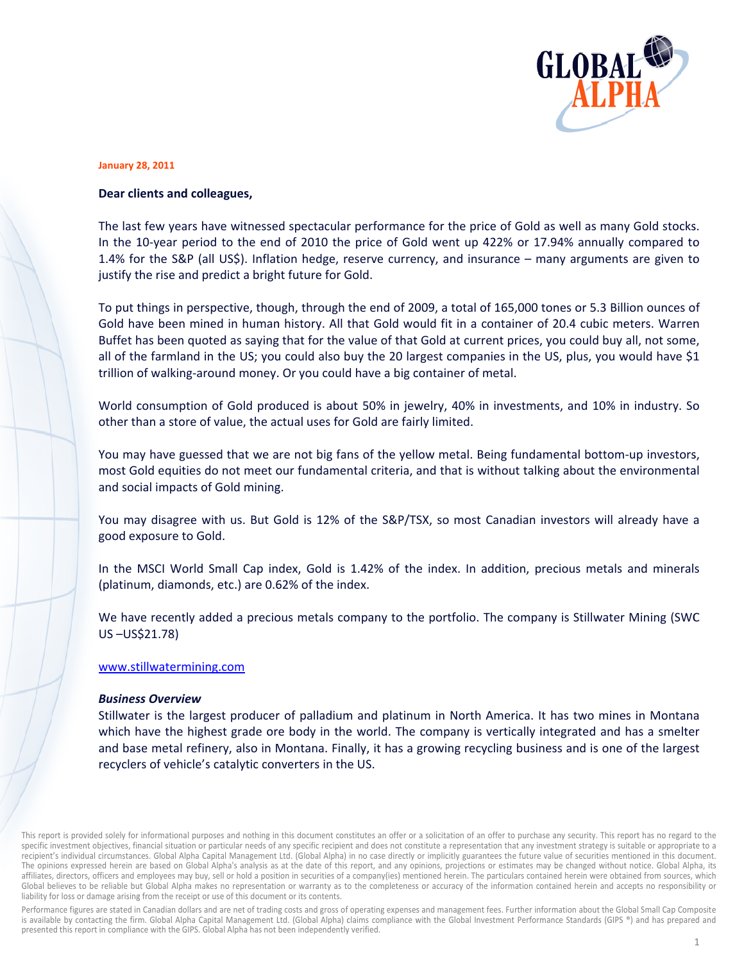

#### **January 28, 2011**

## Dear clients and colleagues,

The last few years have witnessed spectacular performance for the price of Gold as well as many Gold stocks. In the 10-year period to the end of 2010 the price of Gold went up 422% or 17.94% annually compared to 1.4% for the S&P (all US\$). Inflation hedge, reserve currency, and insurance - many arguments are given to justify the rise and predict a bright future for Gold.

To put things in perspective, though, through the end of 2009, a total of 165,000 tones or 5.3 Billion ounces of Gold have been mined in human history. All that Gold would fit in a container of 20.4 cubic meters. Warren Buffet has been quoted as saying that for the value of that Gold at current prices, you could buy all, not some, all of the farmland in the US; you could also buy the 20 largest companies in the US, plus, you would have \$1 trillion of walking-around money. Or you could have a big container of metal.

World consumption of Gold produced is about 50% in jewelry, 40% in investments, and 10% in industry. So other than a store of value, the actual uses for Gold are fairly limited.

You may have guessed that we are not big fans of the yellow metal. Being fundamental bottom-up investors, most Gold equities do not meet our fundamental criteria, and that is without talking about the environmental and social impacts of Gold mining.

You may disagree with us. But Gold is 12% of the S&P/TSX, so most Canadian investors will already have a good exposure to Gold.

In the MSCI World Small Cap index, Gold is 1.42% of the index. In addition, precious metals and minerals (platinum, diamonds, etc.) are 0.62% of the index.

We have recently added a precious metals company to the portfolio. The company is Stillwater Mining (SWC US-US\$21.78)

### www.stillwatermining.com

### **Business Overview**

Stillwater is the largest producer of palladium and platinum in North America. It has two mines in Montana which have the highest grade ore body in the world. The company is vertically integrated and has a smelter and base metal refinery, also in Montana. Finally, it has a growing recycling business and is one of the largest recyclers of vehicle's catalytic converters in the US.

This report is provided solely for informational purposes and nothing in this document constitutes an offer or a solicitation of an offer to purchase any security. This report has no regard to the specific investment objectives, financial situation or particular needs of any specific recipient and does not constitute a representation that any investment strategy is suitable or appropriate to a recipient's individual circumstances. Global Alpha Capital Management Ltd. (Global Alpha) in no case directly or implicitly guarantees the future value of securities mentioned in this document. The opinions expressed herein are based on Global Alpha's analysis as at the date of this report, and any opinions, projections or estimates may be changed without notice. Global Alpha, its affiliates, directors, officers and employees may buy, sell or hold a position in securities of a company(ies) mentioned herein. The particulars contained herein were obtained from sources, which Global believes to be reliable but Global Alpha makes no representation or warranty as to the completeness or accuracy of the information contained herein and accepts no responsibility or liability for loss or damage arising from the receipt or use of this document or its contents.

Performance figures are stated in Canadian dollars and are net of trading costs and gross of operating expenses and management fees. Further information about the Global Small Cap Composite is available by contacting the firm. Global Alpha Capital Management Ltd. (Global Alpha) claims compliance with the Global Investment Performance Standards (GIPS ®) and has prepared and presented this report in compliance with the GIPS. Global Alpha has not been independently verified.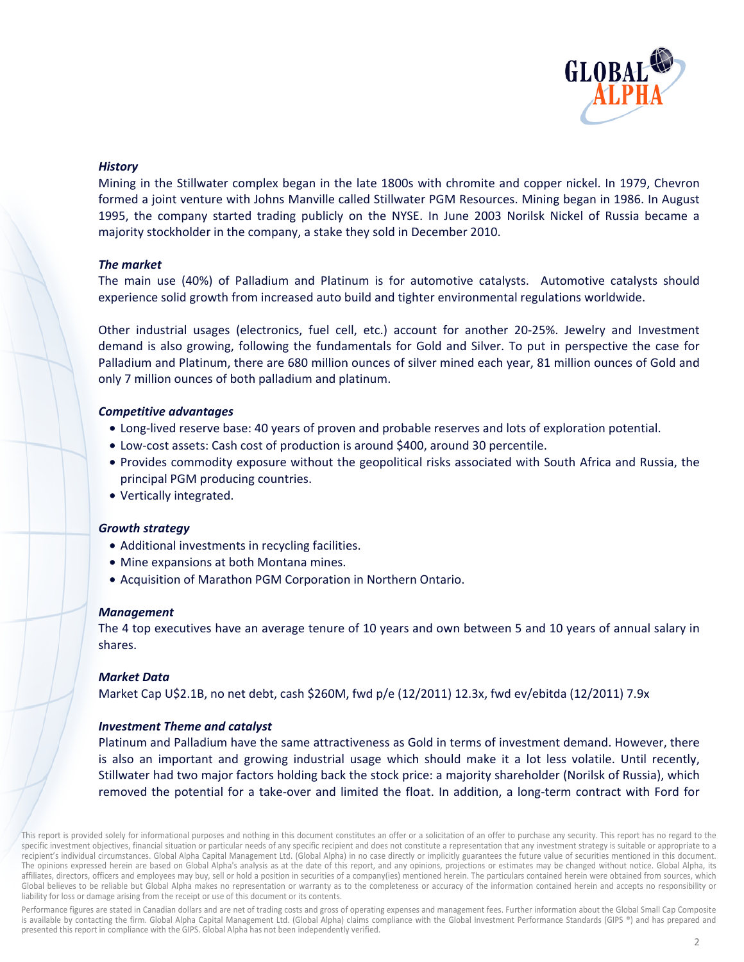

# **History**

Mining in the Stillwater complex began in the late 1800s with chromite and copper nickel. In 1979, Chevron formed a joint venture with Johns Manville called Stillwater PGM Resources. Mining began in 1986. In August 1995, the company started trading publicly on the NYSE. In June 2003 Norilsk Nickel of Russia became a majority stockholder in the company, a stake they sold in December 2010.

## The market

The main use (40%) of Palladium and Platinum is for automotive catalysts. Automotive catalysts should experience solid growth from increased auto build and tighter environmental regulations worldwide.

Other industrial usages (electronics, fuel cell, etc.) account for another 20-25%. Jewelry and Investment demand is also growing, following the fundamentals for Gold and Silver. To put in perspective the case for Palladium and Platinum, there are 680 million ounces of silver mined each year, 81 million ounces of Gold and only 7 million ounces of both palladium and platinum.

## **Competitive advantages**

- Long-lived reserve base: 40 years of proven and probable reserves and lots of exploration potential.
- Low-cost assets: Cash cost of production is around \$400, around 30 percentile.
- Provides commodity exposure without the geopolitical risks associated with South Africa and Russia, the principal PGM producing countries.
- Vertically integrated.

## **Growth strategy**

- Additional investments in recycling facilities.
- Mine expansions at both Montana mines.
- Acquisition of Marathon PGM Corporation in Northern Ontario.

## **Management**

The 4 top executives have an average tenure of 10 years and own between 5 and 10 years of annual salary in shares.

## **Market Data**

Market Cap U\$2.1B, no net debt, cash \$260M, fwd p/e (12/2011) 12.3x, fwd ev/ebitda (12/2011) 7.9x

# **Investment Theme and catalyst**

Platinum and Palladium have the same attractiveness as Gold in terms of investment demand. However, there is also an important and growing industrial usage which should make it a lot less volatile. Until recently, Stillwater had two major factors holding back the stock price: a majority shareholder (Norilsk of Russia), which removed the potential for a take-over and limited the float. In addition, a long-term contract with Ford for

This report is provided solely for informational purposes and nothing in this document constitutes an offer or a solicitation of an offer to purchase any security. This report has no regard to the specific investment objectives, financial situation or particular needs of any specific recipient and does not constitute a representation that any investment strategy is suitable or appropriate to a recipient's individual circumstances. Global Alpha Capital Management Ltd. (Global Alpha) in no case directly or implicitly guarantees the future value of securities mentioned in this document. The opinions expressed herein are based on Global Alpha's analysis as at the date of this report, and any opinions, projections or estimates may be changed without notice. Global Alpha, its affiliates, directors, officers and employees may buy, sell or hold a position in securities of a company(ies) mentioned herein. The particulars contained herein were obtained from sources, which Global believes to be reliable but Global Alpha makes no representation or warranty as to the completeness or accuracy of the information contained herein and accepts no responsibility or liability for loss or damage arising from the receipt or use of this document or its contents.

Performance figures are stated in Canadian dollars and are net of trading costs and gross of operating expenses and management fees. Further information about the Global Small Cap Composite is available by contacting the firm. Global Alpha Capital Management Ltd. (Global Alpha) claims compliance with the Global Investment Performance Standards (GIPS ®) and has prepared and presented this report in compliance with the GIPS. Global Alpha has not been independently verified.